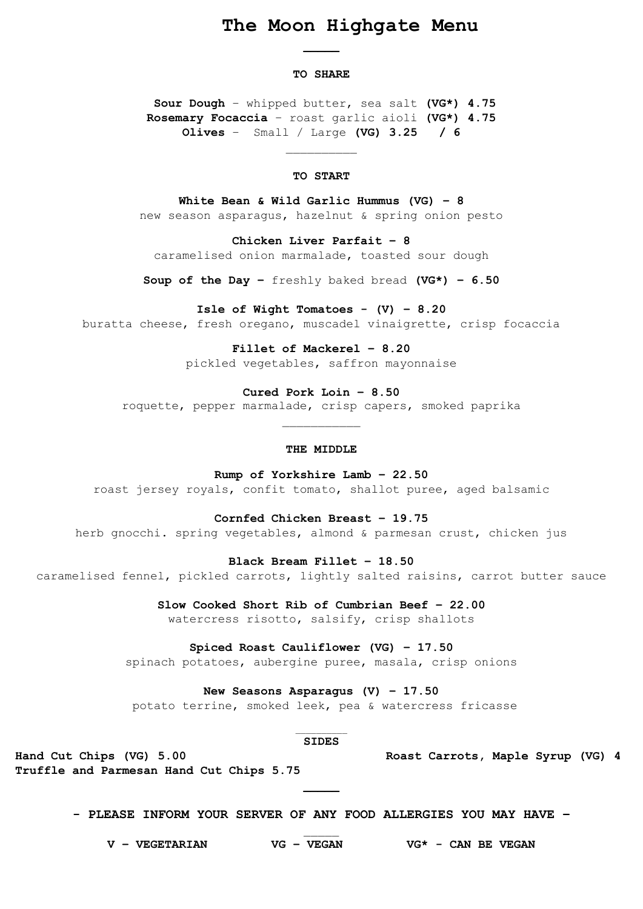## **The Moon Highgate Menu**

#### **TO SHARE**

**Sour Dough** – whipped butter, sea salt **(VG\*) 4.75 Rosemary Focaccia** – roast garlic aioli **(VG\*) 4.75 Olives** – Small / Large **(VG) 3.25 / 6**

#### **TO START**

**White Bean & Wild Garlic Hummus (VG) – 8** new season asparagus, hazelnut & spring onion pesto

**Chicken Liver Parfait – 8**

caramelised onion marmalade, toasted sour dough

**Soup of the Day –** freshly baked bread **(VG\*) – 6.50**

**Isle of Wight Tomatoes - (V) – 8.20**

buratta cheese, fresh oregano, muscadel vinaigrette, crisp focaccia

**Fillet of Mackerel – 8.20**

pickled vegetables, saffron mayonnaise

**Cured Pork Loin – 8.50**

roquette, pepper marmalade, crisp capers, smoked paprika

#### **THE MIDDLE**

**Rump of Yorkshire Lamb – 22.50**

roast jersey royals, confit tomato, shallot puree, aged balsamic

**Cornfed Chicken Breast – 19.75**

herb gnocchi. spring vegetables, almond & parmesan crust, chicken jus

**Black Bream Fillet – 18.50**

caramelised fennel, pickled carrots, lightly salted raisins, carrot butter sauce

**Slow Cooked Short Rib of Cumbrian Beef – 22.00** watercress risotto, salsify, crisp shallots

**Spiced Roast Cauliflower (VG) – 17.50** spinach potatoes, aubergine puree, masala, crisp onions

**New Seasons Asparagus (V) – 17.50** potato terrine, smoked leek, pea & watercress fricasse

#### **SIDES**

**Hand Cut Chips (VG) 5.00 Roast Carrots, Maple Syrup (VG) 4**

**Truffle and Parmesan Hand Cut Chips 5.75** 

**- PLEASE INFORM YOUR SERVER OF ANY FOOD ALLERGIES YOU MAY HAVE –**

**V – VEGETARIAN VG – VEGAN VG\* - CAN BE VEGAN**